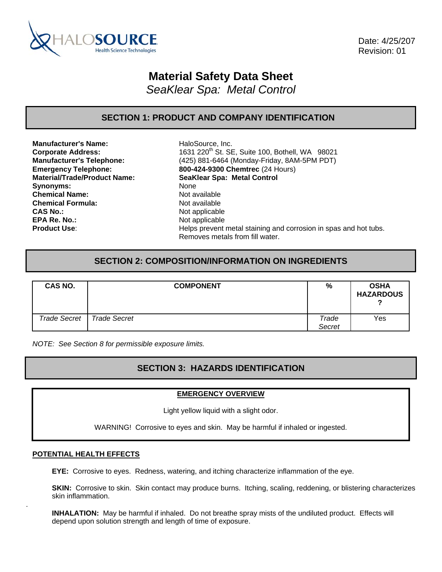

 Date: 4/25/207 Revision: 01

# **Material Safety Data Sheet**

*SeaKlear Spa: Metal Control* 

### **SECTION 1: PRODUCT AND COMPANY IDENTIFICATION**

**Manufacturer's Name:** HaloSource, Inc. **Material/Trade/Product Name: SeaKlear Spa: Metal Control** Synonyms: None **Chemical Name:** Not available **Chemical Formula:** Not available **CAS No.:** Not applicable **EPA Re. No.: Not applicable** 

**Corporate Address:** 1631 220th St. SE, Suite 100, Bothell, WA 98021 **Manufacturer's Telephone:** (425) 881-6464 (Monday-Friday, 8AM-5PM PDT) **Emergency Telephone: 800-424-9300 Chemtrec** (24 Hours) **Product Use:** Helps prevent metal staining and corrosion in spas and hot tubs. Removes metals from fill water.

### **SECTION 2: COMPOSITION/INFORMATION ON INGREDIENTS**

| CAS NO.             | <b>COMPONENT</b>    | %               | <b>OSHA</b><br><b>HAZARDOUS</b> |
|---------------------|---------------------|-----------------|---------------------------------|
| <b>Trade Secret</b> | <b>Trade Secret</b> | Trade<br>Secret | Yes                             |

*NOTE: See Section 8 for permissible exposure limits.* 

# **SECTION 3: HAZARDS IDENTIFICATION**

#### **EMERGENCY OVERVIEW**

Light yellow liquid with a slight odor.

WARNING! Corrosive to eyes and skin. May be harmful if inhaled or ingested.

#### **POTENTIAL HEALTH EFFECTS**

.

**EYE:** Corrosive to eyes. Redness, watering, and itching characterize inflammation of the eye.

**SKIN:** Corrosive to skin. Skin contact may produce burns. Itching, scaling, reddening, or blistering characterizes skin inflammation.

**INHALATION:** May be harmful if inhaled. Do not breathe spray mists of the undiluted product. Effects will depend upon solution strength and length of time of exposure.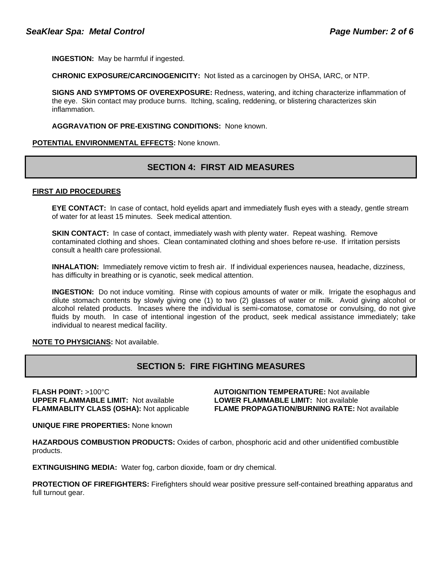**INGESTION:** May be harmful if ingested.

**CHRONIC EXPOSURE/CARCINOGENICITY:** Not listed as a carcinogen by OHSA, IARC, or NTP.

**SIGNS AND SYMPTOMS OF OVEREXPOSURE:** Redness, watering, and itching characterize inflammation of the eye. Skin contact may produce burns. Itching, scaling, reddening, or blistering characterizes skin inflammation.

**AGGRAVATION OF PRE-EXISTING CONDITIONS:** None known.

**POTENTIAL ENVIRONMENTAL EFFECTS:** None known.

### **SECTION 4: FIRST AID MEASURES**

#### **FIRST AID PROCEDURES**

**EYE CONTACT:** In case of contact, hold eyelids apart and immediately flush eyes with a steady, gentle stream of water for at least 15 minutes. Seek medical attention.

**SKIN CONTACT:** In case of contact, immediately wash with plenty water. Repeat washing. Remove contaminated clothing and shoes. Clean contaminated clothing and shoes before re-use. If irritation persists consult a health care professional.

**INHALATION:** Immediately remove victim to fresh air. If individual experiences nausea, headache, dizziness, has difficulty in breathing or is cyanotic, seek medical attention.

**INGESTION:** Do not induce vomiting. Rinse with copious amounts of water or milk. Irrigate the esophagus and dilute stomach contents by slowly giving one (1) to two (2) glasses of water or milk. Avoid giving alcohol or alcohol related products. Incases where the individual is semi-comatose, comatose or convulsing, do not give fluids by mouth. In case of intentional ingestion of the product, seek medical assistance immediately; take individual to nearest medical facility.

**NOTE TO PHYSICIANS:** Not available.

### **SECTION 5: FIRE FIGHTING MEASURES**

**FLASH POINT:** >100°C **AUTOIGNITION TEMPERATURE:** Not available **UPPER FLAMMABLE LIMIT:** Not available **LOWER FLAMMABLE LIMIT:** Not available

**FLAMMABLITY CLASS (OSHA):** Not applicable **FLAME PROPAGATION/BURNING RATE:** Not available

**UNIQUE FIRE PROPERTIES:** None known

**HAZARDOUS COMBUSTION PRODUCTS:** Oxides of carbon, phosphoric acid and other unidentified combustible products.

**EXTINGUISHING MEDIA:** Water fog, carbon dioxide, foam or dry chemical.

**PROTECTION OF FIREFIGHTERS:** Firefighters should wear positive pressure self-contained breathing apparatus and full turnout gear.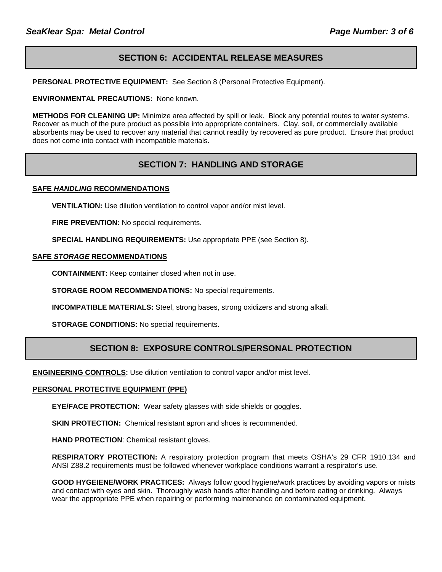### **SECTION 6: ACCIDENTAL RELEASE MEASURES**

**PERSONAL PROTECTIVE EQUIPMENT:** See Section 8 (Personal Protective Equipment).

**ENVIRONMENTAL PRECAUTIONS:** None known.

**METHODS FOR CLEANING UP:** Minimize area affected by spill or leak. Block any potential routes to water systems. Recover as much of the pure product as possible into appropriate containers. Clay, soil, or commercially available absorbents may be used to recover any material that cannot readily by recovered as pure product. Ensure that product does not come into contact with incompatible materials.

### **SECTION 7: HANDLING AND STORAGE**

#### **SAFE** *HANDLING* **RECOMMENDATIONS**

**VENTILATION:** Use dilution ventilation to control vapor and/or mist level.

**FIRE PREVENTION:** No special requirements.

**SPECIAL HANDLING REQUIREMENTS:** Use appropriate PPE (see Section 8).

#### **SAFE** *STORAGE* **RECOMMENDATIONS**

**CONTAINMENT:** Keep container closed when not in use.

**STORAGE ROOM RECOMMENDATIONS:** No special requirements.

**INCOMPATIBLE MATERIALS:** Steel, strong bases, strong oxidizers and strong alkali.

**STORAGE CONDITIONS:** No special requirements.

### **SECTION 8: EXPOSURE CONTROLS/PERSONAL PROTECTION**

**ENGINEERING CONTROLS:** Use dilution ventilation to control vapor and/or mist level.

#### **PERSONAL PROTECTIVE EQUIPMENT (PPE)**

**EYE/FACE PROTECTION:** Wear safety glasses with side shields or goggles.

**SKIN PROTECTION:** Chemical resistant apron and shoes is recommended.

**HAND PROTECTION**: Chemical resistant gloves.

**RESPIRATORY PROTECTION:** A respiratory protection program that meets OSHA's 29 CFR 1910.134 and ANSI Z88.2 requirements must be followed whenever workplace conditions warrant a respirator's use.

**GOOD HYGEIENE/WORK PRACTICES:** Always follow good hygiene/work practices by avoiding vapors or mists and contact with eyes and skin. Thoroughly wash hands after handling and before eating or drinking. Always wear the appropriate PPE when repairing or performing maintenance on contaminated equipment.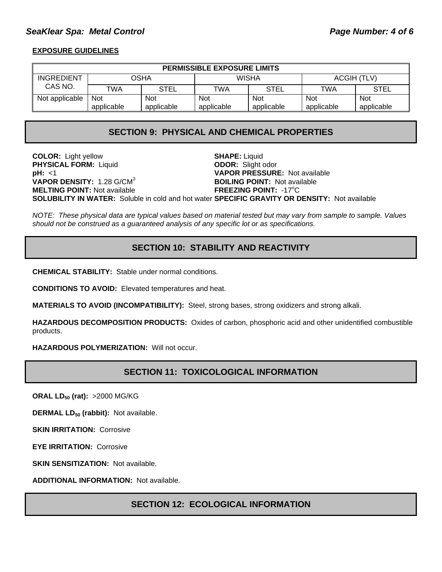### **SeaKlear Spa: Metal Control Page Number: 4 of 6**

#### **EXPOSURE GUIDELINES**

| <b>PERMISSIBLE EXPOSURE LIMITS</b> |            |             |              |             |             |             |
|------------------------------------|------------|-------------|--------------|-------------|-------------|-------------|
| INGREDIENT                         | OSHA       |             | <b>WISHA</b> |             | ACGIH (TLV) |             |
| CAS NO.                            | TWA        | <b>STEL</b> | TWA          | <b>STEL</b> | TWA         | <b>STEL</b> |
| Not applicable                     | <b>Not</b> | Not         | Not          | Not         | <b>Not</b>  | <b>Not</b>  |
|                                    | applicable | applicable  | applicable   | applicable  | applicable  | applicable  |

### **SECTION 9: PHYSICAL AND CHEMICAL PROPERTIES**

**COLOR:** Light yellow **SHAPE:** Liquid **PHYSICAL FORM:** Liquid **ODOR:** Slight odor<br> **pH:** <1 **DAPOR PRESSURI VAPOR PRESSURE:** Not available **VAPOR DENSITY:** 1.28 G/CM<sup>3</sup>  **BOILING POINT:** Not available **MELTING POINT: Not available** FREEZING POINT: -17°C **SOLUBILITY IN WATER:** Soluble in cold and hot water **SPECIFIC GRAVITY OR DENSITY:** Not available

*NOTE: These physical data are typical values based on material tested but may vary from sample to sample. Values should not be construed as a guaranteed analysis of any specific lot or as specifications.*

### **SECTION 10: STABILITY AND REACTIVITY**

**CHEMICAL STABILITY:** Stable under normal conditions.

**CONDITIONS TO AVOID:** Elevated temperatures and heat.

**MATERIALS TO AVOID (INCOMPATIBILITY):** Steel, strong bases, strong oxidizers and strong alkali.

**HAZARDOUS DECOMPOSITION PRODUCTS:** Oxides of carbon, phosphoric acid and other unidentified combustible products.

**HAZARDOUS POLYMERIZATION:** Will not occur.

### **SECTION 11: TOXICOLOGICAL INFORMATION**

**ORAL LD<sub>50</sub> (rat): >2000 MG/KG** 

**DERMAL LD<sub>50</sub> (rabbit):** Not available.

**SKIN IRRITATION: Corrosive** 

**EYE IRRITATION:** Corrosive

**SKIN SENSITIZATION: Not available.** 

**ADDITIONAL INFORMATION:** Not available.

### **SECTION 12: ECOLOGICAL INFORMATION**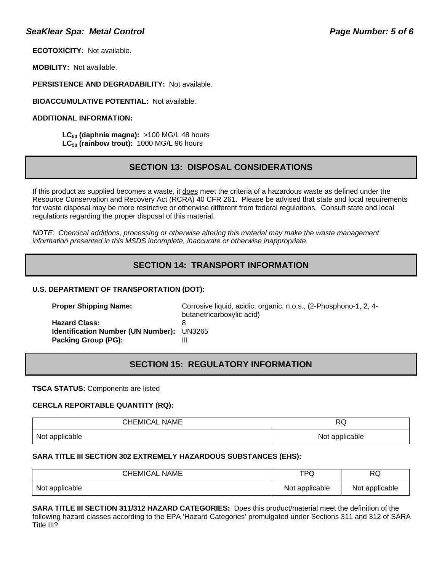**ECOTOXICITY:** Not available.

**MOBILITY:** Not available.

**PERSISTENCE AND DEGRADABILITY:** Not available.

**BIOACCUMULATIVE POTENTIAL:** Not available.

#### **ADDITIONAL INFORMATION:**

**LC<sub>50</sub> (daphnia magna): >100 MG/L 48 hours** LC<sub>50</sub> (rainbow trout): 1000 MG/L 96 hours

### **SECTION 13: DISPOSAL CONSIDERATIONS**

If this product as supplied becomes a waste, it does meet the criteria of a hazardous waste as defined under the Resource Conservation and Recovery Act (RCRA) 40 CFR 261. Please be advised that state and local requirements for waste disposal may be more restrictive or otherwise different from federal regulations. Consult state and local regulations regarding the proper disposal of this material.

*NOTE: Chemical additions, processing or otherwise altering this material may make the waste management information presented in this MSDS incomplete, inaccurate or otherwise inappropriate.* 

### **SECTION 14: TRANSPORT INFORMATION**

#### **U.S. DEPARTMENT OF TRANSPORTATION (DOT):**

| <b>Proper Shipping Name:</b>              | Corrosive liquid, acidic, organic, n.o.s., (2-Phosphono-1, 2, 4-<br>butanetricarboxylic acid) |
|-------------------------------------------|-----------------------------------------------------------------------------------------------|
| <b>Hazard Class:</b>                      |                                                                                               |
| Identification Number (UN Number): UN3265 |                                                                                               |
| Packing Group (PG):                       | Ш                                                                                             |

### **SECTION 15: REGULATORY INFORMATION**

#### **TSCA STATUS:** Components are listed

#### **CERCLA REPORTABLE QUANTITY (RQ):**

| <b>CHEMICAL NAME</b> | RQ             |  |
|----------------------|----------------|--|
| Not applicable       | Not applicable |  |

#### **SARA TITLE III SECTION 302 EXTREMELY HAZARDOUS SUBSTANCES (EHS):**

| <b>CHEMICAL NAME</b> | TPQ            | DC<br>ru       |
|----------------------|----------------|----------------|
| Not applicable       | Not applicable | Not applicable |

**SARA TITLE III SECTION 311/312 HAZARD CATEGORIES:** Does this product/material meet the definition of the following hazard classes according to the EPA 'Hazard Categories' promulgated under Sections 311 and 312 of SARA Title III?